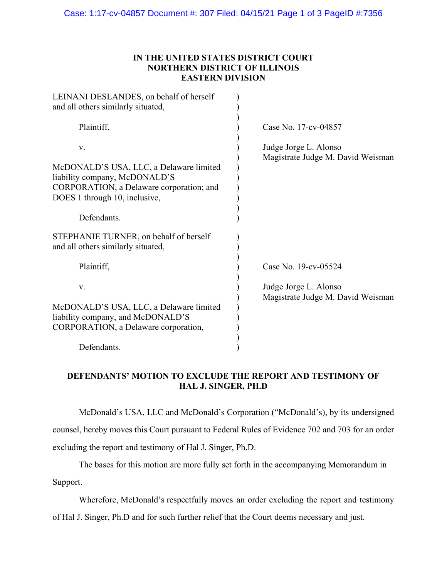### **IN THE UNITED STATES DISTRICT COURT NORTHERN DISTRICT OF ILLINOIS EASTERN DIVISION**

| Case No. 17-cv-04857<br>Judge Jorge L. Alonso<br>Magistrate Judge M. David Weisman |
|------------------------------------------------------------------------------------|
|                                                                                    |
|                                                                                    |
|                                                                                    |
| Case No. 19-cv-05524                                                               |
| Judge Jorge L. Alonso<br>Magistrate Judge M. David Weisman                         |
|                                                                                    |

## **DEFENDANTS' MOTION TO EXCLUDE THE REPORT AND TESTIMONY OF HAL J. SINGER, PH.D**

 McDonald's USA, LLC and McDonald's Corporation ("McDonald's), by its undersigned counsel, hereby moves this Court pursuant to Federal Rules of Evidence 702 and 703 for an order excluding the report and testimony of Hal J. Singer, Ph.D.

 The bases for this motion are more fully set forth in the accompanying Memorandum in Support.

Wherefore, McDonald's respectfully moves an order excluding the report and testimony

of Hal J. Singer, Ph.D and for such further relief that the Court deems necessary and just.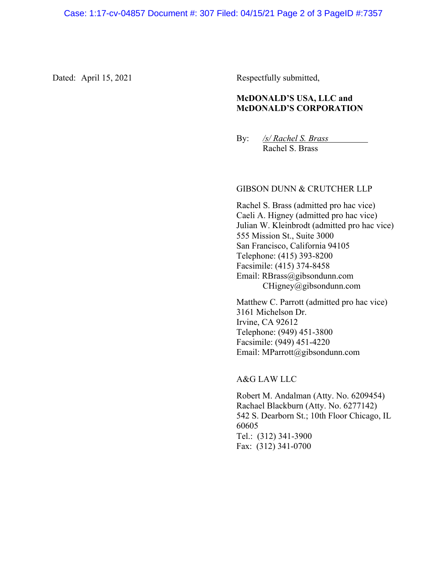Dated: April 15, 2021 Respectfully submitted,

#### **McDONALD'S USA, LLC and McDONALD'S CORPORATION**

By: */s/ Rachel S. Brass* Rachel S. Brass

#### GIBSON DUNN & CRUTCHER LLP

Rachel S. Brass (admitted pro hac vice) Caeli A. Higney (admitted pro hac vice) Julian W. Kleinbrodt (admitted pro hac vice) 555 Mission St., Suite 3000 San Francisco, California 94105 Telephone: (415) 393-8200 Facsimile: (415) 374-8458 Email: RBrass@gibsondunn.com CHigney@gibsondunn.com

Matthew C. Parrott (admitted pro hac vice) 3161 Michelson Dr. Irvine, CA 92612 Telephone: (949) 451-3800 Facsimile: (949) 451-4220 Email: MParrott@gibsondunn.com

A&G LAW LLC

Robert M. Andalman (Atty. No. 6209454) Rachael Blackburn (Atty. No. 6277142) 542 S. Dearborn St.; 10th Floor Chicago, IL 60605 Tel.: (312) 341-3900 Fax: (312) 341-0700